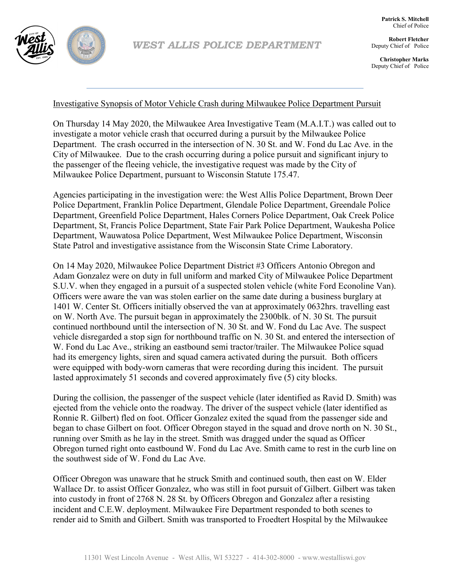

**Robert Fletcher** Deputy Chief of Police

**Christopher Marks** Deputy Chief of Police

## Investigative Synopsis of Motor Vehicle Crash during Milwaukee Police Department Pursuit

On Thursday 14 May 2020, the Milwaukee Area Investigative Team (M.A.I.T.) was called out to investigate a motor vehicle crash that occurred during a pursuit by the Milwaukee Police Department. The crash occurred in the intersection of N. 30 St. and W. Fond du Lac Ave. in the City of Milwaukee. Due to the crash occurring during a police pursuit and significant injury to the passenger of the fleeing vehicle, the investigative request was made by the City of Milwaukee Police Department, pursuant to Wisconsin Statute 175.47.

Agencies participating in the investigation were: the West Allis Police Department, Brown Deer Police Department, Franklin Police Department, Glendale Police Department, Greendale Police Department, Greenfield Police Department, Hales Corners Police Department, Oak Creek Police Department, St, Francis Police Department, State Fair Park Police Department, Waukesha Police Department, Wauwatosa Police Department, West Milwaukee Police Department, Wisconsin State Patrol and investigative assistance from the Wisconsin State Crime Laboratory.

On 14 May 2020, Milwaukee Police Department District #3 Officers Antonio Obregon and Adam Gonzalez were on duty in full uniform and marked City of Milwaukee Police Department S.U.V. when they engaged in a pursuit of a suspected stolen vehicle (white Ford Econoline Van). Officers were aware the van was stolen earlier on the same date during a business burglary at 1401 W. Center St. Officers initially observed the van at approximately 0632hrs. travelling east on W. North Ave. The pursuit began in approximately the 2300blk. of N. 30 St. The pursuit continued northbound until the intersection of N. 30 St. and W. Fond du Lac Ave. The suspect vehicle disregarded a stop sign for northbound traffic on N. 30 St. and entered the intersection of W. Fond du Lac Ave., striking an eastbound semi tractor/trailer. The Milwaukee Police squad had its emergency lights, siren and squad camera activated during the pursuit. Both officers were equipped with body-worn cameras that were recording during this incident. The pursuit lasted approximately 51 seconds and covered approximately five (5) city blocks.

During the collision, the passenger of the suspect vehicle (later identified as Ravid D. Smith) was ejected from the vehicle onto the roadway. The driver of the suspect vehicle (later identified as Ronnie R. Gilbert) fled on foot. Officer Gonzalez exited the squad from the passenger side and began to chase Gilbert on foot. Officer Obregon stayed in the squad and drove north on N. 30 St., running over Smith as he lay in the street. Smith was dragged under the squad as Officer Obregon turned right onto eastbound W. Fond du Lac Ave. Smith came to rest in the curb line on the southwest side of W. Fond du Lac Ave.

Officer Obregon was unaware that he struck Smith and continued south, then east on W. Elder Wallace Dr. to assist Officer Gonzalez, who was still in foot pursuit of Gilbert. Gilbert was taken into custody in front of 2768 N. 28 St. by Officers Obregon and Gonzalez after a resisting incident and C.E.W. deployment. Milwaukee Fire Department responded to both scenes to render aid to Smith and Gilbert. Smith was transported to Froedtert Hospital by the Milwaukee